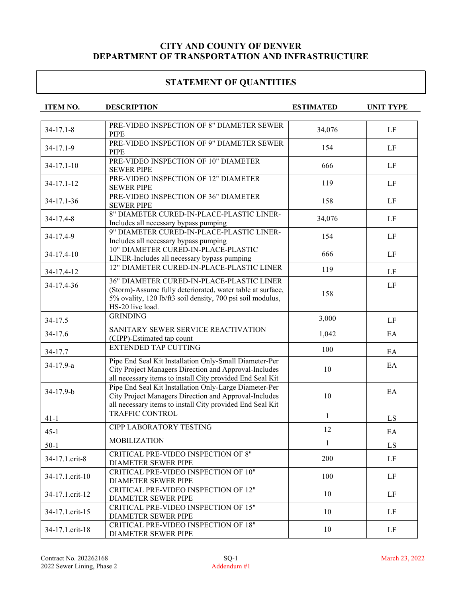| <b>ITEM NO.</b> | <b>DESCRIPTION</b>                                                                                                                                                           | <b>ESTIMATED</b> | <b>UNIT TYPE</b> |
|-----------------|------------------------------------------------------------------------------------------------------------------------------------------------------------------------------|------------------|------------------|
|                 |                                                                                                                                                                              |                  |                  |
| $34 - 17.1 - 8$ | PRE-VIDEO INSPECTION OF 8" DIAMETER SEWER<br><b>PIPE</b>                                                                                                                     | 34,076           | LF               |
| 34-17.1-9       | PRE-VIDEO INSPECTION OF 9" DIAMETER SEWER<br><b>PIPE</b>                                                                                                                     | 154              | LF               |
| $34-17.1-10$    | PRE-VIDEO INSPECTION OF 10" DIAMETER<br><b>SEWER PIPE</b>                                                                                                                    | 666              | LF               |
| 34-17.1-12      | PRE-VIDEO INSPECTION OF 12" DIAMETER<br><b>SEWER PIPE</b>                                                                                                                    | 119              | LF               |
| 34-17.1-36      | PRE-VIDEO INSPECTION OF 36" DIAMETER<br><b>SEWER PIPE</b>                                                                                                                    | 158              | LF               |
| 34-17.4-8       | 8" DIAMETER CURED-IN-PLACE-PLASTIC LINER-<br>Includes all necessary bypass pumping                                                                                           | 34,076           | LF               |
| 34-17.4-9       | 9" DIAMETER CURED-IN-PLACE-PLASTIC LINER-<br>Includes all necessary bypass pumping                                                                                           | 154              | LF               |
| 34-17.4-10      | 10" DIAMETER CURED-IN-PLACE-PLASTIC<br>LINER-Includes all necessary bypass pumping                                                                                           | 666              | LF               |
| 34-17.4-12      | 12" DIAMETER CURED-IN-PLACE-PLASTIC LINER                                                                                                                                    | 119              | LF               |
| 34-17.4-36      | 36" DIAMETER CURED-IN-PLACE-PLASTIC LINER<br>(Storm)-Assume fully deteriorated, water table at surface,<br>5% ovality, 120 lb/ft3 soil density, 700 psi soil modulus,        | 158              | LF               |
| 34-17.5         | HS-20 live load.<br><b>GRINDING</b>                                                                                                                                          | 3,000            | LF               |
| 34-17.6         | SANITARY SEWER SERVICE REACTIVATION<br>(CIPP)-Estimated tap count                                                                                                            | 1,042            | EA               |
| 34-17.7         | <b>EXTENDED TAP CUTTING</b>                                                                                                                                                  | 100              | EA               |
| 34-17.9-a       | Pipe End Seal Kit Installation Only-Small Diameter-Per<br>City Project Managers Direction and Approval-Includes<br>all necessary items to install City provided End Seal Kit | 10               | EA               |
| 34-17.9-b       | Pipe End Seal Kit Installation Only-Large Diameter-Per<br>City Project Managers Direction and Approval-Includes<br>all necessary items to install City provided End Seal Kit | 10               | EA               |
| $41 - 1$        | <b>TRAFFIC CONTROL</b>                                                                                                                                                       | $\mathbf{1}$     | LS               |
| $45 - 1$        | <b>CIPP LABORATORY TESTING</b>                                                                                                                                               | 12               | EA               |
| $50-1$          | <b>MOBILIZATION</b>                                                                                                                                                          | 1                | LS               |
| 34-17.1.crit-8  | CRITICAL PRE-VIDEO INSPECTION OF 8"<br><b>DIAMETER SEWER PIPE</b>                                                                                                            | 200              | LF               |
| 34-17.1.crit-10 | CRITICAL PRE-VIDEO INSPECTION OF 10"<br>DIAMETER SEWER PIPE                                                                                                                  | 100              | LF               |
| 34-17.1.crit-12 | CRITICAL PRE-VIDEO INSPECTION OF 12"<br>DIAMETER SEWER PIPE                                                                                                                  | 10               | LF               |
| 34-17.1.crit-15 | CRITICAL PRE-VIDEO INSPECTION OF 15"<br>DIAMETER SEWER PIPE                                                                                                                  | 10               | LF               |
| 34-17.1.crit-18 | CRITICAL PRE-VIDEO INSPECTION OF 18"<br>DIAMETER SEWER PIPE                                                                                                                  | 10               | LF               |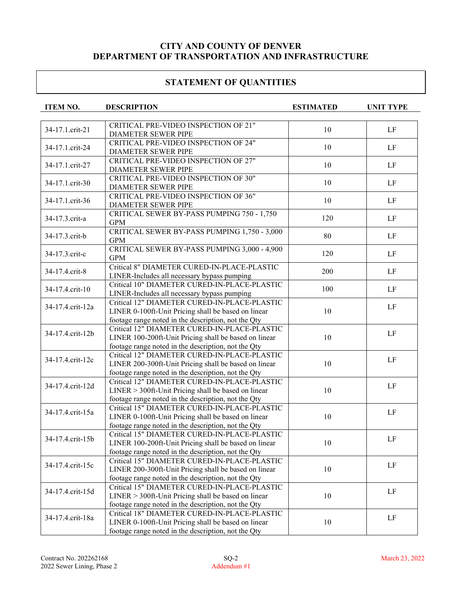| <b>ITEM NO.</b>  | <b>DESCRIPTION</b>                                                                                  | <b>ESTIMATED</b> | <b>UNIT TYPE</b> |
|------------------|-----------------------------------------------------------------------------------------------------|------------------|------------------|
|                  |                                                                                                     |                  |                  |
| 34-17.1.crit-21  | CRITICAL PRE-VIDEO INSPECTION OF 21"                                                                |                  |                  |
|                  | DIAMETER SEWER PIPE                                                                                 | 10               | LF               |
| 34-17.1.crit-24  | CRITICAL PRE-VIDEO INSPECTION OF 24"                                                                |                  |                  |
|                  | DIAMETER SEWER PIPE                                                                                 | 10               | LF               |
|                  | CRITICAL PRE-VIDEO INSPECTION OF 27"                                                                |                  |                  |
| 34-17.1.crit-27  | DIAMETER SEWER PIPE                                                                                 | 10               | LF               |
| 34-17.1.crit-30  | CRITICAL PRE-VIDEO INSPECTION OF 30"                                                                | 10               | LF               |
|                  | DIAMETER SEWER PIPE                                                                                 |                  |                  |
|                  | CRITICAL PRE-VIDEO INSPECTION OF 36"                                                                | 10               | LF               |
| 34-17.1.crit-36  | DIAMETER SEWER PIPE                                                                                 |                  |                  |
| 34-17.3.crit-a   | CRITICAL SEWER BY-PASS PUMPING 750 - 1,750                                                          | 120              | LF               |
|                  | <b>GPM</b>                                                                                          |                  |                  |
| 34-17.3.crit-b   | CRITICAL SEWER BY-PASS PUMPING 1,750 - 3,000                                                        | 80               | LF               |
|                  | <b>GPM</b>                                                                                          |                  |                  |
| 34-17.3.crit-c   | CRITICAL SEWER BY-PASS PUMPING 3,000 - 4,900                                                        | 120              | LF               |
|                  | <b>GPM</b>                                                                                          |                  |                  |
| 34-17.4.crit-8   | Critical 8" DIAMETER CURED-IN-PLACE-PLASTIC                                                         | 200              | LF               |
|                  | LINER-Includes all necessary bypass pumping                                                         |                  |                  |
| 34-17.4.crit-10  | Critical 10" DIAMETER CURED-IN-PLACE-PLASTIC                                                        | 100              | LF               |
|                  | LINER-Includes all necessary bypass pumping                                                         |                  |                  |
| 34-17.4.crit-12a | Critical 12" DIAMETER CURED-IN-PLACE-PLASTIC                                                        |                  | LF               |
|                  | LINER 0-100ft-Unit Pricing shall be based on linear                                                 | 10               |                  |
|                  | footage range noted in the description, not the Qty                                                 |                  |                  |
| 34-17.4.crit-12b | Critical 12" DIAMETER CURED-IN-PLACE-PLASTIC                                                        |                  | LF               |
|                  | LINER 100-200ft-Unit Pricing shall be based on linear                                               | 10               |                  |
|                  | footage range noted in the description, not the Qty                                                 |                  |                  |
| 34-17.4.crit-12c | Critical 12" DIAMETER CURED-IN-PLACE-PLASTIC                                                        | 10               | LF               |
|                  | LINER 200-300ft-Unit Pricing shall be based on linear                                               |                  |                  |
|                  | footage range noted in the description, not the Qty<br>Critical 12" DIAMETER CURED-IN-PLACE-PLASTIC |                  |                  |
| 34-17.4.crit-12d | $LINER > 300$ ft-Unit Pricing shall be based on linear                                              | 10               | LF               |
|                  | footage range noted in the description, not the Qty                                                 |                  |                  |
|                  | Critical 15" DIAMETER CURED-IN-PLACE-PLASTIC                                                        |                  |                  |
| 34-17.4.crit-15a | LINER 0-100ft-Unit Pricing shall be based on linear                                                 | 10               | LF               |
|                  | footage range noted in the description, not the Qty                                                 |                  |                  |
|                  | Critical 15" DIAMETER CURED-IN-PLACE-PLASTIC                                                        |                  |                  |
| 34-17.4.crit-15b | LINER 100-200ft-Unit Pricing shall be based on linear                                               | 10               | LF               |
|                  | footage range noted in the description, not the Qty                                                 |                  |                  |
|                  | Critical 15" DIAMETER CURED-IN-PLACE-PLASTIC                                                        |                  |                  |
| 34-17.4.crit-15c | LINER 200-300ft-Unit Pricing shall be based on linear                                               | 10               | LF               |
|                  | footage range noted in the description, not the Qty                                                 |                  |                  |
|                  | Critical 15" DIAMETER CURED-IN-PLACE-PLASTIC                                                        |                  |                  |
| 34-17.4.crit-15d | LINER > 300ft-Unit Pricing shall be based on linear                                                 | 10               | LF               |
|                  | footage range noted in the description, not the Qty                                                 |                  |                  |
|                  | Critical 18" DIAMETER CURED-IN-PLACE-PLASTIC                                                        |                  |                  |
| 34-17.4.crit-18a | LINER 0-100ft-Unit Pricing shall be based on linear                                                 | 10               | LF               |
|                  | footage range noted in the description, not the Qty                                                 |                  |                  |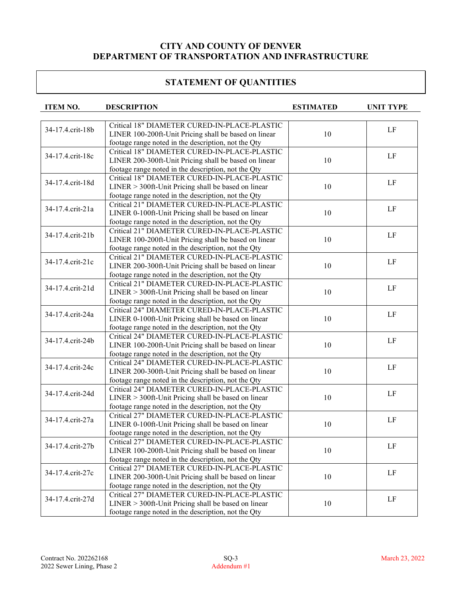| <b>ITEM NO.</b>  | <b>DESCRIPTION</b>                                                                                  | <b>ESTIMATED</b> | <b>UNIT TYPE</b> |
|------------------|-----------------------------------------------------------------------------------------------------|------------------|------------------|
|                  |                                                                                                     |                  |                  |
| 34-17.4.crit-18b | Critical 18" DIAMETER CURED-IN-PLACE-PLASTIC                                                        |                  | LF               |
|                  | LINER 100-200ft-Unit Pricing shall be based on linear                                               | 10               |                  |
|                  | footage range noted in the description, not the Qty                                                 |                  |                  |
| 34-17.4.crit-18c | Critical 18" DIAMETER CURED-IN-PLACE-PLASTIC                                                        |                  | LF               |
|                  | LINER 200-300ft-Unit Pricing shall be based on linear                                               | 10               |                  |
|                  | footage range noted in the description, not the Qty                                                 |                  |                  |
| 34-17.4.crit-18d | Critical 18" DIAMETER CURED-IN-PLACE-PLASTIC                                                        |                  | LF               |
|                  | LINER > 300ft-Unit Pricing shall be based on linear                                                 | 10               |                  |
|                  | footage range noted in the description, not the Qty<br>Critical 21" DIAMETER CURED-IN-PLACE-PLASTIC |                  |                  |
| 34-17.4.crit-21a |                                                                                                     |                  | LF               |
|                  | LINER 0-100ft-Unit Pricing shall be based on linear                                                 | 10               |                  |
|                  | footage range noted in the description, not the Qty<br>Critical 21" DIAMETER CURED-IN-PLACE-PLASTIC |                  |                  |
| 34-17.4.crit-21b | LINER 100-200ft-Unit Pricing shall be based on linear                                               | 10               | LF               |
|                  | footage range noted in the description, not the Qty                                                 |                  |                  |
|                  | Critical 21" DIAMETER CURED-IN-PLACE-PLASTIC                                                        |                  |                  |
| 34-17.4.crit-21c | LINER 200-300ft-Unit Pricing shall be based on linear                                               | 10               | LF               |
|                  | footage range noted in the description, not the Qty                                                 |                  |                  |
|                  | Critical 21" DIAMETER CURED-IN-PLACE-PLASTIC                                                        |                  |                  |
| 34-17.4.crit-21d | LINER > 300ft-Unit Pricing shall be based on linear                                                 | 10               | $\rm LF$         |
|                  | footage range noted in the description, not the Qty                                                 |                  |                  |
|                  | Critical 24" DIAMETER CURED-IN-PLACE-PLASTIC                                                        |                  |                  |
| 34-17.4.crit-24a | LINER 0-100ft-Unit Pricing shall be based on linear                                                 | 10               | $\rm LF$         |
|                  | footage range noted in the description, not the Qty                                                 |                  |                  |
|                  | Critical 24" DIAMETER CURED-IN-PLACE-PLASTIC                                                        |                  |                  |
| 34-17.4.crit-24b | LINER 100-200ft-Unit Pricing shall be based on linear                                               | 10               | $\rm LF$         |
|                  | footage range noted in the description, not the Qty                                                 |                  |                  |
|                  | Critical 24" DIAMETER CURED-IN-PLACE-PLASTIC                                                        |                  |                  |
| 34-17.4.crit-24c | LINER 200-300ft-Unit Pricing shall be based on linear                                               | 10               | LF               |
|                  | footage range noted in the description, not the Qty                                                 |                  |                  |
| 34-17.4.crit-24d | Critical 24" DIAMETER CURED-IN-PLACE-PLASTIC                                                        |                  |                  |
|                  | $LINER > 300$ ft-Unit Pricing shall be based on linear                                              | 10               | LF               |
|                  | footage range noted in the description, not the Qty                                                 |                  |                  |
|                  | Critical 27" DIAMETER CURED-IN-PLACE-PLASTIC                                                        |                  |                  |
| 34-17.4.crit-27a | LINER 0-100ft-Unit Pricing shall be based on linear                                                 | 10               | LF               |
|                  | footage range noted in the description, not the Qty                                                 |                  |                  |
|                  | Critical 27" DIAMETER CURED-IN-PLACE-PLASTIC                                                        |                  |                  |
| 34-17.4.crit-27b | LINER 100-200ft-Unit Pricing shall be based on linear                                               | 10               | LF               |
|                  | footage range noted in the description, not the Qty                                                 |                  |                  |
|                  | Critical 27" DIAMETER CURED-IN-PLACE-PLASTIC                                                        |                  | LF               |
| 34-17.4.crit-27c | LINER 200-300ft-Unit Pricing shall be based on linear                                               | 10               |                  |
|                  | footage range noted in the description, not the Qty                                                 |                  |                  |
| 34-17.4.crit-27d | Critical 27" DIAMETER CURED-IN-PLACE-PLASTIC                                                        |                  | LF               |
|                  | $LINER > 300$ ft-Unit Pricing shall be based on linear                                              | 10               |                  |
|                  | footage range noted in the description, not the Qty                                                 |                  |                  |